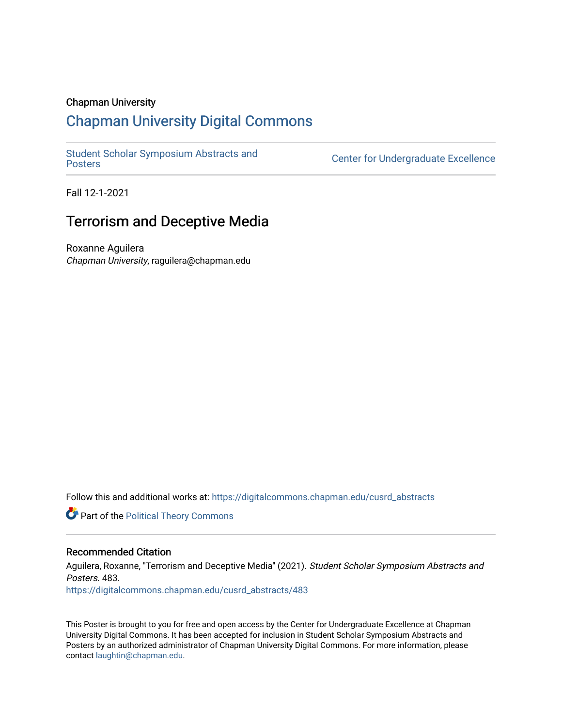# Chapman University

# [Chapman University Digital Commons](https://digitalcommons.chapman.edu/)

[Student Scholar Symposium Abstracts and](https://digitalcommons.chapman.edu/cusrd_abstracts) 

Center for Undergraduate Excellence

Fall 12-1-2021

# Terrorism and Deceptive Media

Roxanne Aguilera Chapman University, raguilera@chapman.edu

Follow this and additional works at: [https://digitalcommons.chapman.edu/cusrd\\_abstracts](https://digitalcommons.chapman.edu/cusrd_abstracts?utm_source=digitalcommons.chapman.edu%2Fcusrd_abstracts%2F483&utm_medium=PDF&utm_campaign=PDFCoverPages) 

**Part of the Political Theory Commons** 

# Recommended Citation

Aguilera, Roxanne, "Terrorism and Deceptive Media" (2021). Student Scholar Symposium Abstracts and Posters. 483. [https://digitalcommons.chapman.edu/cusrd\\_abstracts/483](https://digitalcommons.chapman.edu/cusrd_abstracts/483?utm_source=digitalcommons.chapman.edu%2Fcusrd_abstracts%2F483&utm_medium=PDF&utm_campaign=PDFCoverPages) 

This Poster is brought to you for free and open access by the Center for Undergraduate Excellence at Chapman University Digital Commons. It has been accepted for inclusion in Student Scholar Symposium Abstracts and Posters by an authorized administrator of Chapman University Digital Commons. For more information, please contact [laughtin@chapman.edu](mailto:laughtin@chapman.edu).